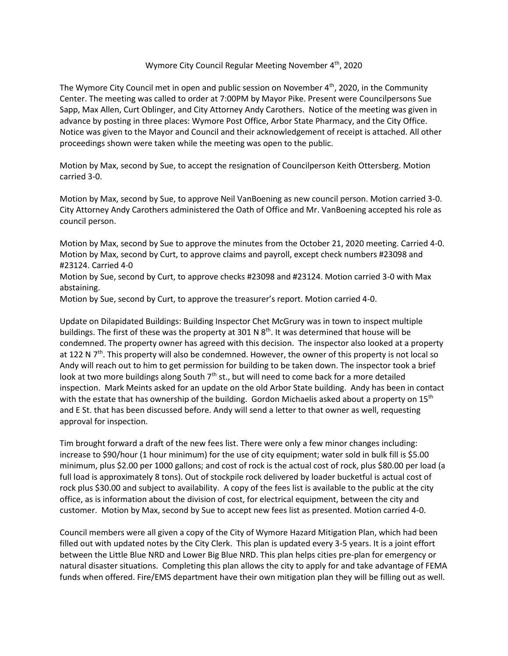## Wymore City Council Regular Meeting November 4<sup>th</sup>, 2020

The Wymore City Council met in open and public session on November  $4<sup>th</sup>$ , 2020, in the Community Center. The meeting was called to order at 7:00PM by Mayor Pike. Present were Councilpersons Sue Sapp, Max Allen, Curt Oblinger, and City Attorney Andy Carothers. Notice of the meeting was given in advance by posting in three places: Wymore Post Office, Arbor State Pharmacy, and the City Office. Notice was given to the Mayor and Council and their acknowledgement of receipt is attached. All other proceedings shown were taken while the meeting was open to the public.

Motion by Max, second by Sue, to accept the resignation of Councilperson Keith Ottersberg. Motion carried 3-0.

Motion by Max, second by Sue, to approve Neil VanBoening as new council person. Motion carried 3-0. City Attorney Andy Carothers administered the Oath of Office and Mr. VanBoening accepted his role as council person.

Motion by Max, second by Sue to approve the minutes from the October 21, 2020 meeting. Carried 4-0. Motion by Max, second by Curt, to approve claims and payroll, except check numbers #23098 and #23124. Carried 4-0

Motion by Sue, second by Curt, to approve checks #23098 and #23124. Motion carried 3-0 with Max abstaining.

Motion by Sue, second by Curt, to approve the treasurer's report. Motion carried 4-0.

Update on Dilapidated Buildings: Building Inspector Chet McGrury was in town to inspect multiple buildings. The first of these was the property at 301 N 8<sup>th</sup>. It was determined that house will be condemned. The property owner has agreed with this decision. The inspector also looked at a property at 122 N  $7<sup>th</sup>$ . This property will also be condemned. However, the owner of this property is not local so Andy will reach out to him to get permission for building to be taken down. The inspector took a brief look at two more buildings along South  $7<sup>th</sup>$  st., but will need to come back for a more detailed inspection. Mark Meints asked for an update on the old Arbor State building. Andy has been in contact with the estate that has ownership of the building. Gordon Michaelis asked about a property on  $15<sup>th</sup>$ and E St. that has been discussed before. Andy will send a letter to that owner as well, requesting approval for inspection.

Tim brought forward a draft of the new fees list. There were only a few minor changes including: increase to \$90/hour (1 hour minimum) for the use of city equipment; water sold in bulk fill is \$5.00 minimum, plus \$2.00 per 1000 gallons; and cost of rock is the actual cost of rock, plus \$80.00 per load (a full load is approximately 8 tons). Out of stockpile rock delivered by loader bucketful is actual cost of rock plus \$30.00 and subject to availability. A copy of the fees list is available to the public at the city office, as is information about the division of cost, for electrical equipment, between the city and customer. Motion by Max, second by Sue to accept new fees list as presented. Motion carried 4-0.

Council members were all given a copy of the City of Wymore Hazard Mitigation Plan, which had been filled out with updated notes by the City Clerk. This plan is updated every 3-5 years. It is a joint effort between the Little Blue NRD and Lower Big Blue NRD. This plan helps cities pre-plan for emergency or natural disaster situations. Completing this plan allows the city to apply for and take advantage of FEMA funds when offered. Fire/EMS department have their own mitigation plan they will be filling out as well.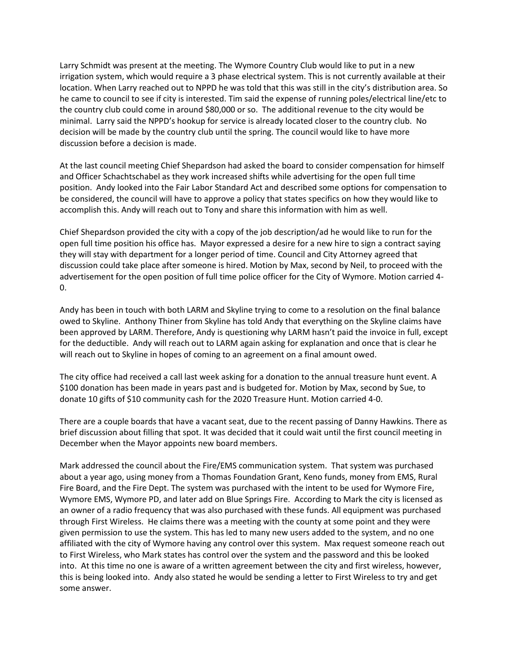Larry Schmidt was present at the meeting. The Wymore Country Club would like to put in a new irrigation system, which would require a 3 phase electrical system. This is not currently available at their location. When Larry reached out to NPPD he was told that this was still in the city's distribution area. So he came to council to see if city is interested. Tim said the expense of running poles/electrical line/etc to the country club could come in around \$80,000 or so. The additional revenue to the city would be minimal. Larry said the NPPD's hookup for service is already located closer to the country club. No decision will be made by the country club until the spring. The council would like to have more discussion before a decision is made.

At the last council meeting Chief Shepardson had asked the board to consider compensation for himself and Officer Schachtschabel as they work increased shifts while advertising for the open full time position. Andy looked into the Fair Labor Standard Act and described some options for compensation to be considered, the council will have to approve a policy that states specifics on how they would like to accomplish this. Andy will reach out to Tony and share this information with him as well.

Chief Shepardson provided the city with a copy of the job description/ad he would like to run for the open full time position his office has. Mayor expressed a desire for a new hire to sign a contract saying they will stay with department for a longer period of time. Council and City Attorney agreed that discussion could take place after someone is hired. Motion by Max, second by Neil, to proceed with the advertisement for the open position of full time police officer for the City of Wymore. Motion carried 4- 0.

Andy has been in touch with both LARM and Skyline trying to come to a resolution on the final balance owed to Skyline. Anthony Thiner from Skyline has told Andy that everything on the Skyline claims have been approved by LARM. Therefore, Andy is questioning why LARM hasn't paid the invoice in full, except for the deductible. Andy will reach out to LARM again asking for explanation and once that is clear he will reach out to Skyline in hopes of coming to an agreement on a final amount owed.

The city office had received a call last week asking for a donation to the annual treasure hunt event. A \$100 donation has been made in years past and is budgeted for. Motion by Max, second by Sue, to donate 10 gifts of \$10 community cash for the 2020 Treasure Hunt. Motion carried 4-0.

There are a couple boards that have a vacant seat, due to the recent passing of Danny Hawkins. There as brief discussion about filling that spot. It was decided that it could wait until the first council meeting in December when the Mayor appoints new board members.

Mark addressed the council about the Fire/EMS communication system. That system was purchased about a year ago, using money from a Thomas Foundation Grant, Keno funds, money from EMS, Rural Fire Board, and the Fire Dept. The system was purchased with the intent to be used for Wymore Fire, Wymore EMS, Wymore PD, and later add on Blue Springs Fire. According to Mark the city is licensed as an owner of a radio frequency that was also purchased with these funds. All equipment was purchased through First Wireless. He claims there was a meeting with the county at some point and they were given permission to use the system. This has led to many new users added to the system, and no one affiliated with the city of Wymore having any control over this system. Max request someone reach out to First Wireless, who Mark states has control over the system and the password and this be looked into. At this time no one is aware of a written agreement between the city and first wireless, however, this is being looked into. Andy also stated he would be sending a letter to First Wireless to try and get some answer.